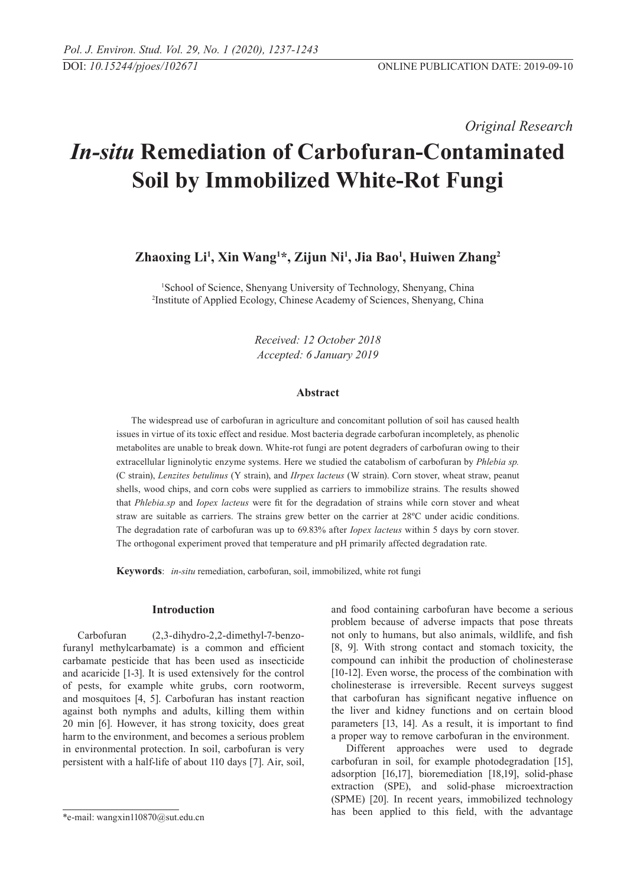*Original Research* 

# *In-situ* **Remediation of Carbofuran-Contaminated Soil by Immobilized White-Rot Fungi**

## **Zhaoxing Li1 , Xin Wang1 \*, Zijun Ni1 , Jia Bao1 , Huiwen Zhang2**

1 School of Science, Shenyang University of Technology, Shenyang, China 2 Institute of Applied Ecology, Chinese Academy of Sciences, Shenyang, China

> *Received: 12 October 2018 Accepted: 6 January 2019*

#### **Abstract**

The widespread use of carbofuran in agriculture and concomitant pollution of soil has caused health issues in virtue of its toxic effect and residue. Most bacteria degrade carbofuran incompletely, as phenolic metabolites are unable to break down. White-rot fungi are potent degraders of carbofuran owing to their extracellular ligninolytic enzyme systems. Here we studied the catabolism of carbofuran by *Phlebia sp.*  (C strain), *Lenzites betulinus* (Y strain), and *IIrpex lacteus* (W strain). Corn stover, wheat straw, peanut shells, wood chips, and corn cobs were supplied as carriers to immobilize strains. The results showed that *Phlebia.sp* and *Iopex lacteus* were fit for the degradation of strains while corn stover and wheat straw are suitable as carriers. The strains grew better on the carrier at 28ºC under acidic conditions. The degradation rate of carbofuran was up to 69.83% after *Iopex lacteus* within 5 days by corn stover. The orthogonal experiment proved that temperature and pH primarily affected degradation rate.

**Keywords**: *in-situ* remediation, carbofuran, soil, immobilized, white rot fungi

#### **Introduction**

Carbofuran (2,3-dihydro-2,2-dimethyl-7-benzofuranyl methylcarbamate) is a common and efficient carbamate pesticide that has been used as insecticide and acaricide [1-3]. It is used extensively for the control of pests, for example white grubs, corn rootworm, and mosquitoes [4, 5]. Carbofuran has instant reaction against both nymphs and adults, killing them within 20 min [6]. However, it has strong toxicity, does great harm to the environment, and becomes a serious problem in environmental protection. In soil, carbofuran is very persistent with a half-life of about 110 days [7]. Air, soil, and food containing carbofuran have become a serious problem because of adverse impacts that pose threats not only to humans, but also animals, wildlife, and fish [8, 9]. With strong contact and stomach toxicity, the compound can inhibit the production of cholinesterase [10-12]. Even worse, the process of the combination with cholinesterase is irreversible. Recent surveys suggest that carbofuran has significant negative influence on the liver and kidney functions and on certain blood parameters [13, 14]. As a result, it is important to find a proper way to remove carbofuran in the environment.

Different approaches were used to degrade carbofuran in soil, for example photodegradation [15], adsorption [16,17], bioremediation [18,19], solid-phase extraction (SPE), and solid-phase microextraction (SPME) [20]. In recent years, immobilized technology has been applied to this field, with the advantage

<sup>\*</sup>e-mail: wangxin110870@sut.edu.cn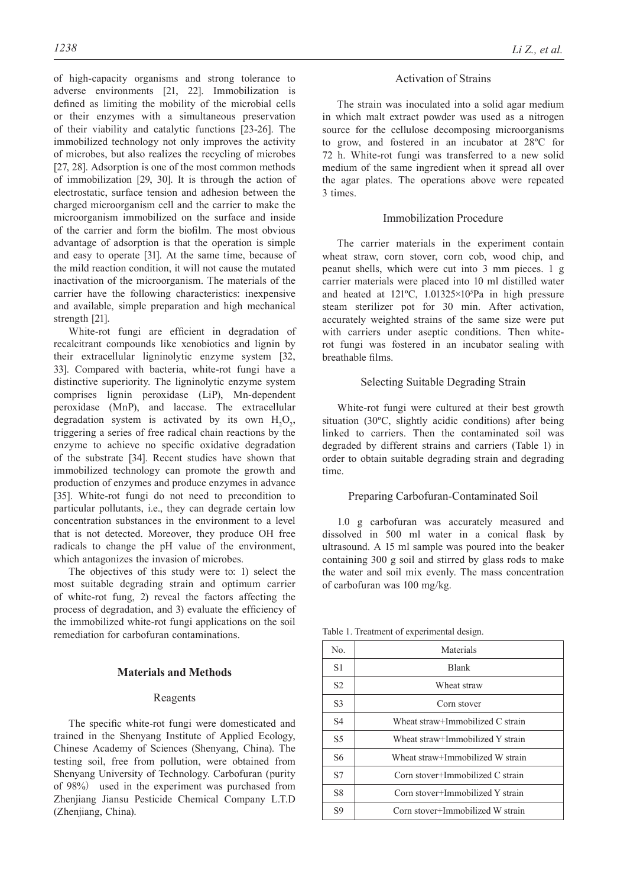of high-capacity organisms and strong tolerance to adverse environments [21, 22]. Immobilization is defined as limiting the mobility of the microbial cells or their enzymes with a simultaneous preservation of their viability and catalytic functions [23-26]. The immobilized technology not only improves the activity of microbes, but also realizes the recycling of microbes [27, 28]. Adsorption is one of the most common methods of immobilization [29, 30]. It is through the action of electrostatic, surface tension and adhesion between the charged microorganism cell and the carrier to make the microorganism immobilized on the surface and inside of the carrier and form the biofilm. The most obvious advantage of adsorption is that the operation is simple and easy to operate [31]. At the same time, because of the mild reaction condition, it will not cause the mutated inactivation of the microorganism. The materials of the carrier have the following characteristics: inexpensive and available, simple preparation and high mechanical strength [21].

White-rot fungi are efficient in degradation of recalcitrant compounds like xenobiotics and lignin by their extracellular ligninolytic enzyme system [32, 33]. Compared with bacteria, white-rot fungi have a distinctive superiority. The ligninolytic enzyme system comprises lignin peroxidase (LiP), Mn-dependent peroxidase (MnP), and laccase. The extracellular degradation system is activated by its own  $H_2O_2$ , triggering a series of free radical chain reactions by the enzyme to achieve no specific oxidative degradation of the substrate [34]. Recent studies have shown that immobilized technology can promote the growth and production of enzymes and produce enzymes in advance [35]. White-rot fungi do not need to precondition to particular pollutants, i.e., they can degrade certain low concentration substances in the environment to a level that is not detected. Moreover, they produce OH free radicals to change the pH value of the environment, which antagonizes the invasion of microbes.

The objectives of this study were to: 1) select the most suitable degrading strain and optimum carrier of white-rot fung, 2) reveal the factors affecting the process of degradation, and 3) evaluate the efficiency of the immobilized white-rot fungi applications on the soil remediation for carbofuran contaminations.

## **Materials and Methods**

#### Reagents

The specific white-rot fungi were domesticated and trained in the Shenyang Institute of Applied Ecology, Chinese Academy of Sciences (Shenyang, China). The testing soil, free from pollution, were obtained from Shenyang University of Technology. Carbofuran (purity of 98%) used in the experiment was purchased from Zhenjiang Jiansu Pesticide Chemical Company L.T.D (Zhenjiang, China).

## Activation of Strains

The strain was inoculated into a solid agar medium in which malt extract powder was used as a nitrogen source for the cellulose decomposing microorganisms to grow, and fostered in an incubator at 28ºC for 72 h. White-rot fungi was transferred to a new solid medium of the same ingredient when it spread all over the agar plates. The operations above were repeated 3 times.

## Immobilization Procedure

The carrier materials in the experiment contain wheat straw, corn stover, corn cob, wood chip, and peanut shells, which were cut into 3 mm pieces. 1 g carrier materials were placed into 10 ml distilled water and heated at 121ºC, 1.01325×105 Pa in high pressure steam sterilizer pot for 30 min. After activation, accurately weighted strains of the same size were put with carriers under aseptic conditions. Then whiterot fungi was fostered in an incubator sealing with breathable films.

#### Selecting Suitable Degrading Strain

White-rot fungi were cultured at their best growth situation (30ºC, slightly acidic conditions) after being linked to carriers. Then the contaminated soil was degraded by different strains and carriers (Table 1) in order to obtain suitable degrading strain and degrading time.

#### Preparing Carbofuran-Contaminated Soil

1.0 g carbofuran was accurately measured and dissolved in 500 ml water in a conical flask by ultrasound. A 15 ml sample was poured into the beaker containing 300 g soil and stirred by glass rods to make the water and soil mix evenly. The mass concentration of carbofuran was 100 mg/kg.

Table 1. Treatment of experimental design.

| No.            | Materials                        |  |  |
|----------------|----------------------------------|--|--|
| S <sub>1</sub> | <b>Blank</b>                     |  |  |
| S <sub>2</sub> | Wheat straw                      |  |  |
| S <sub>3</sub> | Corn stover                      |  |  |
| S <sub>4</sub> | Wheat straw+Immobilized C strain |  |  |
| S <sub>5</sub> | Wheat straw+Immobilized Y strain |  |  |
| S <sub>6</sub> | Wheat straw+Immobilized W strain |  |  |
| <b>S7</b>      | Corn stover+Immobilized C strain |  |  |
| S8             | Corn stover+Immobilized Y strain |  |  |
| S <sub>9</sub> | Corn stover+Immobilized W strain |  |  |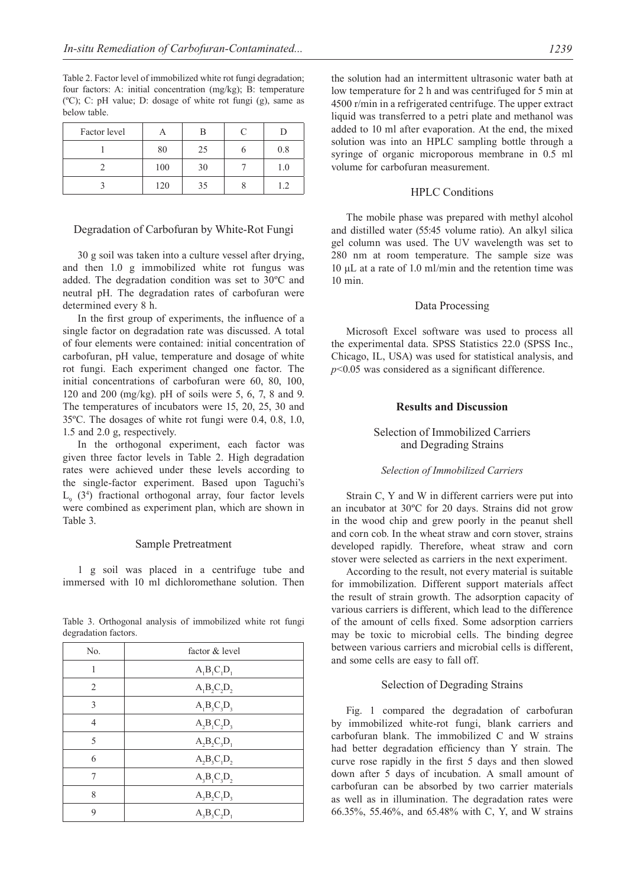Table 2. Factor level of immobilized white rot fungi degradation; four factors: A: initial concentration (mg/kg); B: temperature (ºC); C: pH value; D: dosage of white rot fungi (g), same as below table.

| Factor level |     | в  |     |
|--------------|-----|----|-----|
|              | 80  | 25 | 0.8 |
|              | 100 | 30 | 1.0 |
|              | 120 | 35 |     |

#### Degradation of Carbofuran by White-Rot Fungi

30 g soil was taken into a culture vessel after drying, and then 1.0 g immobilized white rot fungus was added. The degradation condition was set to 30ºC and neutral pH. The degradation rates of carbofuran were determined every 8 h.

In the first group of experiments, the influence of a single factor on degradation rate was discussed. A total of four elements were contained: initial concentration of carbofuran, pH value, temperature and dosage of white rot fungi. Each experiment changed one factor. The initial concentrations of carbofuran were 60, 80, 100, 120 and 200 (mg/kg). pH of soils were 5, 6, 7, 8 and 9. The temperatures of incubators were 15, 20, 25, 30 and 35ºC. The dosages of white rot fungi were 0.4, 0.8, 1.0, 1.5 and 2.0 g, respectively.

In the orthogonal experiment, each factor was given three factor levels in Table 2. High degradation rates were achieved under these levels according to the single-factor experiment. Based upon Taguchi's  $L<sub>9</sub>$  (3<sup>4</sup>) fractional orthogonal array, four factor levels were combined as experiment plan, which are shown in Table 3.

#### Sample Pretreatment

1 g soil was placed in a centrifuge tube and immersed with 10 ml dichloromethane solution. Then

| No.            | factor & level |
|----------------|----------------|
| 1              | $A_1B_1C_1D_1$ |
| $\overline{2}$ | $A_1B_2C_2D_2$ |
| $\mathcal{E}$  | $A_1B_3C_3D_3$ |
| 4              | $A_2B_1C_2D_3$ |
| 5              | $A_2B_2C_3D_1$ |
| 6              | $A_2B_3C_1D_2$ |
|                | $A_3B_1C_3D_2$ |
| 8              | $A_3B_2C_1D_3$ |
| 9              | $A_3B_3C_2D_1$ |

Table 3. Orthogonal analysis of immobilized white rot fungi degradation factors.

the solution had an intermittent ultrasonic water bath at low temperature for 2 h and was centrifuged for 5 min at 4500 r/min in a refrigerated centrifuge. The upper extract liquid was transferred to a petri plate and methanol was added to 10 ml after evaporation. At the end, the mixed solution was into an HPLC sampling bottle through a syringe of organic microporous membrane in 0.5 ml volume for carbofuran measurement.

## HPLC Conditions

The mobile phase was prepared with methyl alcohol and distilled water (55:45 volume ratio). An alkyl silica gel column was used. The UV wavelength was set to 280 nm at room temperature. The sample size was 10 μL at a rate of 1.0 ml/min and the retention time was 10 min.

#### Data Processing

Microsoft Excel software was used to process all the experimental data. SPSS Statistics 22.0 (SPSS Inc., Chicago, IL, USA) was used for statistical analysis, and *p*<0.05 was considered as a significant difference.

#### **Results and Discussion**

## Selection of Immobilized Carriers and Degrading Strains

#### *Selection of Immobilized Carriers*

Strain C, Y and W in different carriers were put into an incubator at 30ºC for 20 days. Strains did not grow in the wood chip and grew poorly in the peanut shell and corn cob. In the wheat straw and corn stover, strains developed rapidly. Therefore, wheat straw and corn stover were selected as carriers in the next experiment.

According to the result, not every material is suitable for immobilization. Different support materials affect the result of strain growth. The adsorption capacity of various carriers is different, which lead to the difference of the amount of cells fixed. Some adsorption carriers may be toxic to microbial cells. The binding degree between various carriers and microbial cells is different, and some cells are easy to fall off.

#### Selection of Degrading Strains

Fig. 1 compared the degradation of carbofuran by immobilized white-rot fungi, blank carriers and carbofuran blank. The immobilized C and W strains had better degradation efficiency than Y strain. The curve rose rapidly in the first 5 days and then slowed down after 5 days of incubation. A small amount of carbofuran can be absorbed by two carrier materials as well as in illumination. The degradation rates were 66.35%, 55.46%, and 65.48% with C, Y, and W strains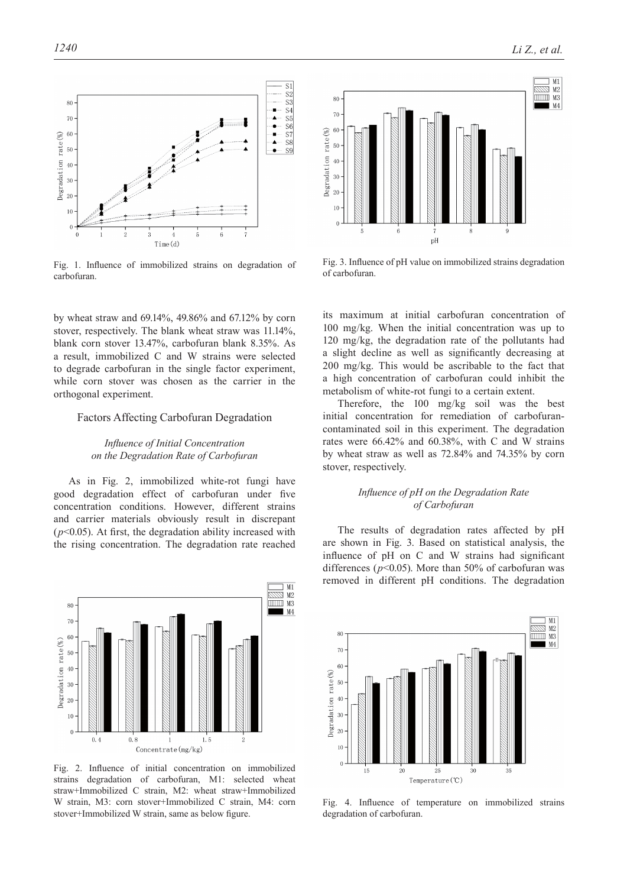rate(%)

**Jegradation** 

 $\theta$ 



5

Fig. 1. Influence of immobilized strains on degradation of carbofuran.

 $Time(d)$ 

by wheat straw and 69.14%, 49.86% and 67.12% by corn stover, respectively. The blank wheat straw was 11.14%, blank corn stover 13.47%, carbofuran blank 8.35%. As a result, immobilized C and W strains were selected to degrade carbofuran in the single factor experiment, while corn stover was chosen as the carrier in the orthogonal experiment.

#### Factors Affecting Carbofuran Degradation

## *Influence of Initial Concentration on the Degradation Rate of Carbofuran*

As in Fig. 2, immobilized white-rot fungi have good degradation effect of carbofuran under five concentration conditions. However, different strains and carrier materials obviously result in discrepant  $(p<0.05)$ . At first, the degradation ability increased with the rising concentration. The degradation rate reached



Fig. 2. Influence of initial concentration on immobilized strains degradation of carbofuran, M1: selected wheat straw+Immobilized C strain, M2: wheat straw+Immobilized W strain, M3: corn stover+Immobilized C strain, M4: corn stover+Immobilized W strain, same as below figure.



Fig. 3. Influence of pH value on immobilized strains degradation of carbofuran.

its maximum at initial carbofuran concentration of 100 mg/kg. When the initial concentration was up to 120 mg/kg, the degradation rate of the pollutants had a slight decline as well as significantly decreasing at 200 mg/kg. This would be ascribable to the fact that a high concentration of carbofuran could inhibit the metabolism of white-rot fungi to a certain extent.

Therefore, the 100 mg/kg soil was the best initial concentration for remediation of carbofurancontaminated soil in this experiment. The degradation rates were 66.42% and 60.38%, with C and W strains by wheat straw as well as 72.84% and 74.35% by corn stover, respectively.

## *Influence of pH on the Degradation Rate of Carbofuran*

The results of degradation rates affected by pH are shown in Fig. 3. Based on statistical analysis, the influence of pH on C and W strains had significant differences ( $p$ <0.05). More than 50% of carbofuran was removed in different pH conditions. The degradation



Fig. 4. Influence of temperature on immobilized strains degradation of carbofuran.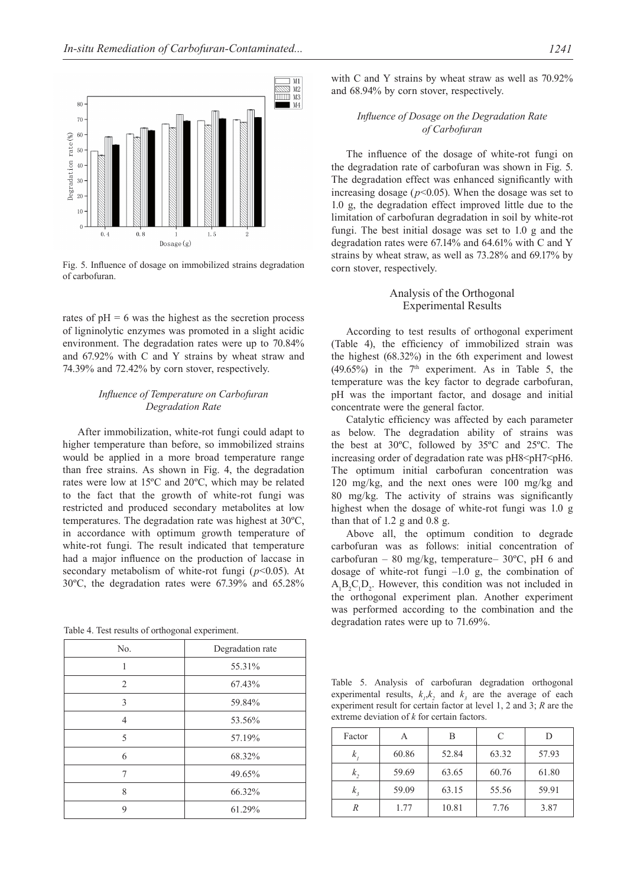

Fig. 5. Influence of dosage on immobilized strains degradation of carbofuran.

rates of  $pH = 6$  was the highest as the secretion process of ligninolytic enzymes was promoted in a slight acidic environment. The degradation rates were up to 70.84% and 67.92% with C and Y strains by wheat straw and 74.39% and 72.42% by corn stover, respectively.

## *Influence of Temperature on Carbofuran Degradation Rate*

After immobilization, white-rot fungi could adapt to higher temperature than before, so immobilized strains would be applied in a more broad temperature range than free strains. As shown in Fig. 4, the degradation rates were low at 15ºC and 20ºC, which may be related to the fact that the growth of white-rot fungi was restricted and produced secondary metabolites at low temperatures. The degradation rate was highest at 30ºC, in accordance with optimum growth temperature of white-rot fungi. The result indicated that temperature had a major influence on the production of laccase in secondary metabolism of white-rot fungi ( $p$ <0.05). At 30ºC, the degradation rates were 67.39% and 65.28%

Table 4. Test results of orthogonal experiment.

| No.            | Degradation rate |
|----------------|------------------|
| 1              | 55.31%           |
| $\overline{2}$ | 67.43%           |
| 3              | 59.84%           |
| $\overline{4}$ | 53.56%           |
| 5              | 57.19%           |
| 6              | 68.32%           |
| 7              | 49.65%           |
| 8              | 66.32%           |
| 9              | 61.29%           |

with C and Y strains by wheat straw as well as  $70.92\%$ and 68.94% by corn stover, respectively.

## *Influence of Dosage on the Degradation Rate of Carbofuran*

The influence of the dosage of white-rot fungi on the degradation rate of carbofuran was shown in Fig. 5. The degradation effect was enhanced significantly with increasing dosage ( $p$ <0.05). When the dosage was set to 1.0 g, the degradation effect improved little due to the limitation of carbofuran degradation in soil by white-rot fungi. The best initial dosage was set to 1.0 g and the degradation rates were 67.14% and 64.61% with C and Y strains by wheat straw, as well as 73.28% and 69.17% by corn stover, respectively.

## Analysis of the Orthogonal Experimental Results

According to test results of orthogonal experiment (Table 4), the efficiency of immobilized strain was the highest (68.32%) in the 6th experiment and lowest  $(49.65\%)$  in the 7<sup>th</sup> experiment. As in Table 5, the temperature was the key factor to degrade carbofuran, pH was the important factor, and dosage and initial concentrate were the general factor.

Catalytic efficiency was affected by each parameter as below. The degradation ability of strains was the best at 30ºC, followed by 35ºC and 25ºC. The increasing order of degradation rate was  $pH8 \leq pH7 \leq pH6$ . The optimum initial carbofuran concentration was 120 mg/kg, and the next ones were 100 mg/kg and 80 mg/kg. The activity of strains was significantly highest when the dosage of white-rot fungi was 1.0 g than that of 1.2 g and 0.8 g.

Above all, the optimum condition to degrade carbofuran was as follows: initial concentration of carbofuran – 80 mg/kg, temperature–  $30^{\circ}$ C, pH 6 and dosage of white-rot fungi –1.0 g, the combination of  $A_1B_2C_1D_2$ . However, this condition was not included in the orthogonal experiment plan. Another experiment was performed according to the combination and the degradation rates were up to 71.69%.

Table 5. Analysis of carbofuran degradation orthogonal experimental results,  $k_1, k_2$  and  $k_3$  are the average of each experiment result for certain factor at level 1, 2 and 3; *R* are the extreme deviation of *k* for certain factors.

| Factor | А     |       | C     |       |
|--------|-------|-------|-------|-------|
| ĸ,     | 60.86 | 52.84 | 63.32 | 57.93 |
| k,     | 59.69 | 63.65 | 60.76 | 61.80 |
| k,     | 59.09 | 63.15 | 55.56 | 59.91 |
|        | 1.77  | 10.81 | 7.76  | 3.87  |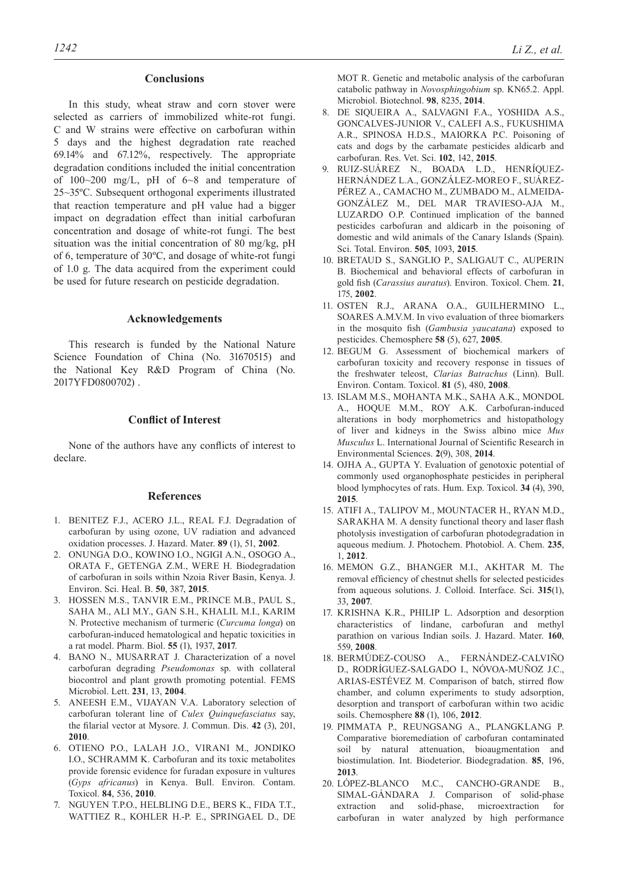## **Conclusions**

In this study, wheat straw and corn stover were selected as carriers of immobilized white-rot fungi. C and W strains were effective on carbofuran within 5 days and the highest degradation rate reached 69.14% and 67.12%, respectively. The appropriate degradation conditions included the initial concentration of 100~200 mg/L, pH of 6~8 and temperature of 25~35ºC. Subsequent orthogonal experiments illustrated that reaction temperature and pH value had a bigger impact on degradation effect than initial carbofuran concentration and dosage of white-rot fungi. The best situation was the initial concentration of 80 mg/kg, pH of 6, temperature of 30ºC, and dosage of white-rot fungi of 1.0 g. The data acquired from the experiment could be used for future research on pesticide degradation.

## **Acknowledgements**

This research is funded by the National Nature Science Foundation of China (No. 31670515) and the National Key R&D Program of China (No. 2017YFD0800702) .

## **Conflict of Interest**

None of the authors have any conflicts of interest to declare.

#### **References**

- 1. BENITEZ F.J., ACERO J.L., REAL F.J. Degradation of carbofuran by using ozone, UV radiation and advanced oxidation processes. J. Hazard. Mater. **89** (1), 51, **2002**.
- 2. Onunga D.O., Kowino I.O., Ngigi A.N., Osogo A., ORATA F., GETENGA Z.M., WERE H. Biodegradation of carbofuran in soils within Nzoia River Basin, Kenya. J. Environ. Sci. Heal. B. **50**, 387, **2015**.
- 3. Hossen M.S., Tanvir E.M., Prince M.B., Paul S., Saha M., Ali M.Y., Gan S.H., Khalil M.I., Karim N. Protective mechanism of turmeric (*Curcuma longa*) on carbofuran-induced hematological and hepatic toxicities in a rat model. Pharm. Biol. **55** (1), 1937, **2017**.
- 4. BANO N., MUSARRAT J. Characterization of a novel carbofuran degrading *Pseudomonas* sp. with collateral biocontrol and plant growth promoting potential. FEMS Microbiol. Lett. **231**, 13, **2004**.
- 5. ANEESH E.M., VIJAYAN V.A. Laboratory selection of carbofuran tolerant line of *Culex Quinquefasciatus* say, the filarial vector at Mysore. J. Commun. Dis. **42** (3), 201, **2010**.
- 6. Otieno P.O., Lalah J.O., Virani M., Jondiko I.O., SCHRAMM K. Carbofuran and its toxic metabolites provide forensic evidence for furadan exposure in vultures (*Gyps africanus*) in Kenya. Bull. Environ. Contam. Toxicol. **84**, 536, **2010**.
- 7. Nguyen T.P.O., Helbling D.E., Bers K., Fida T.T., Wattiez R., Kohler H.-P. E., Springael D., De

MOT R. Genetic and metabolic analysis of the carbofuran catabolic pathway in *Novosphingobium* sp. KN65.2. Appl. Microbiol. Biotechnol. **98**, 8235, **2014**.

- 8. de Siqueira A., Salvagni F.A., Yoshida A.S., Goncalves-Junior V., Calefi A.S., Fukushima A.R., SPINOSA H.D.S., MAIORKA P.C. Poisoning of cats and dogs by the carbamate pesticides aldicarb and carbofuran. Res. Vet. Sci. **102**, 142, **2015**.
- 9. Ruiz-SuÁrez N., Boada L.D., HenrÍquez-HernÁndez L.A., GonzÁlez-Moreo F., SuÁrez-PÉREZ A., CAMACHO M., ZUMBADO M., ALMEIDA-GonzÁlez M., del Mar Travieso-Aja M., LUZARDO O.P. Continued implication of the banned pesticides carbofuran and aldicarb in the poisoning of domestic and wild animals of the Canary Islands (Spain). Sci. Total. Environ. **505**, 1093, **2015**.
- 10. Bretaud S., Sanglio P., Saligaut C., Auperin B. Biochemical and behavioral effects of carbofuran in gold fish (*Carassius auratus*). Environ. Toxicol. Chem. **21**, 175, **2002**.
- 11. Osten R.J., Arana O.A., Guilhermino L., SOARES A.M.V.M. In vivo evaluation of three biomarkers in the mosquito fish (*Gambusia yaucatana*) exposed to pesticides. Chemosphere **58** (5), 627, **2005**.
- 12. BEGUM G. Assessment of biochemical markers of carbofuran toxicity and recovery response in tissues of the freshwater teleost, *Clarias Batrachus* (Linn). Bull. Environ. Contam. Toxicol. **81** (5), 480, **2008**.
- 13. Islam M.S., Mohanta M.K., Saha A.K., Mondol A., Hoque M.M., Roy A.K. Carbofuran-induced alterations in body morphometrics and histopathology of liver and kidneys in the Swiss albino mice *Mus Musculus* L. International Journal of Scientific Research in Environmental Sciences. **2**(9), 308, **2014**.
- 14. OJHA A., GUPTA Y. Evaluation of genotoxic potential of commonly used organophosphate pesticides in peripheral blood lymphocytes of rats. Hum. Exp. Toxicol. **34** (4), 390, **2015**.
- 15. Atifi A., Talipov M., Mountacer H., Ryan M.D., SARAKHA M. A density functional theory and laser flash photolysis investigation of carbofuran photodegradation in aqueous medium. J. Photochem. Photobiol. A. Chem. **235**, 1, **2012**.
- 16. Memon G.Z., Bhanger M.I., Akhtar M. The removal efficiency of chestnut shells for selected pesticides from aqueous solutions. J. Colloid. Interface. Sci. **315**(1), 33, **2007**.
- 17. KRISHNA K.R., PHILIP L. Adsorption and desorption characteristics of lindane, carbofuran and methyl parathion on various Indian soils. J. Hazard. Mater. **160**, 559, **2008**.
- 18. BermÚdez-Couso A., FernÁndez-CalviÑo D., RodrÍguez-Salgado I., NÓvoa-MuÑoz J.C., ARIAS-ESTÉVEZ M. Comparison of batch, stirred flow chamber, and column experiments to study adsorption, desorption and transport of carbofuran within two acidic soils. Chemosphere **88** (1), 106, **2012**.
- 19. Pimmata P., Reungsang A., Plangklang P. Comparative bioremediation of carbofuran contaminated soil by natural attenuation, bioaugmentation and biostimulation. Int. Biodeterior. Biodegradation. **85**, 196, **2013**.
- 20. LÓpez-Blanco M.C., Cancho-Grande B., SIMAL-GÁNDARA J. Comparison of solid-phase extraction and solid-phase, microextraction for carbofuran in water analyzed by high performance